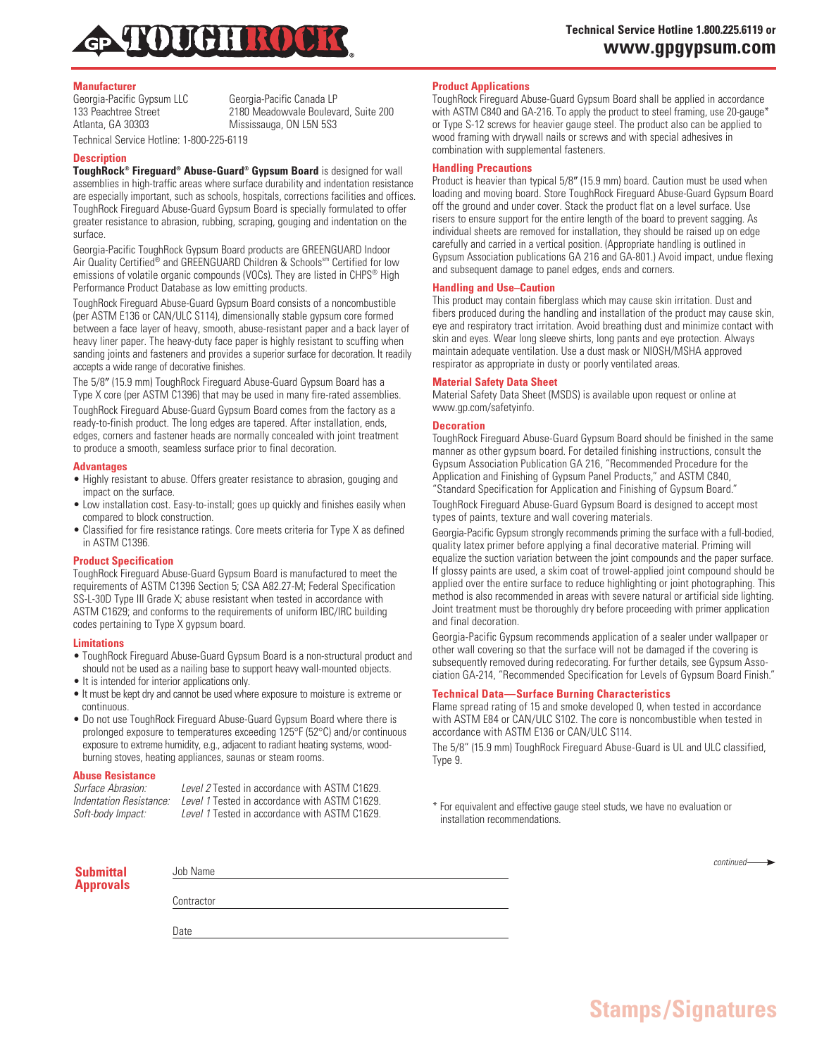

# **Manufacturer**

Georgia-Pacific Gypsum LLC Georgia-Pacific Canada LP 133 Peachtree Street 2180 Meadowvale Boulevard, Suite 200<br>Atlanta. GA 30303 Mississauga. ON L5N 5S3

Technical Service Hotline: 1-800-225-6119

# **Description**

**ToughRock® Fireguard® Abuse-Guard® Gypsum Board** is designed for wall assemblies in high-traffic areas where surface durability and indentation resistance are especially important, such as schools, hospitals, corrections facilities and offices. ToughRock Fireguard Abuse-Guard Gypsum Board is specially formulated to offer greater resistance to abrasion, rubbing, scraping, gouging and indentation on the surface.

Mississauga, ON L5N 5S3

Georgia-Pacific ToughRock Gypsum Board products are GREENGUARD Indoor Air Quality Certified® and GREENGUARD Children & Schools<sup>sm</sup> Certified for low emissions of volatile organic compounds (VOCs). They are listed in CHPS<sup>®</sup> High Performance Product Database as low emitting products.

ToughRock Fireguard Abuse-Guard Gypsum Board consists of a noncombustible (per ASTM E136 or CAN/ULC S114), dimensionally stable gypsum core formed between a face layer of heavy, smooth, abuse-resistant paper and a back layer of heavy liner paper. The heavy-duty face paper is highly resistant to scuffing when sanding joints and fasteners and provides a superior surface for decoration. It readily accepts a wide range of decorative finishes.

The 5/8" (15.9 mm) ToughRock Fireguard Abuse-Guard Gypsum Board has a Type X core (per ASTM C1396) that may be used in many fire-rated assemblies. ToughRock Fireguard Abuse-Guard Gypsum Board comes from the factory as a ready-to-finish product. The long edges are tapered. After installation, ends, edges, corners and fastener heads are normally concealed with joint treatment to produce a smooth, seamless surface prior to final decoration.

### **Advantages**

- Highly resistant to abuse. Offers greater resistance to abrasion, gouging and impact on the surface.
- Low installation cost. Easy-to-install; goes up quickly and finishes easily when compared to block construction.
- Classified for fire resistance ratings. Core meets criteria for Type X as defined in ASTM C1396.

# **Product Specification**

ToughRock Fireguard Abuse-Guard Gypsum Board is manufactured to meet the requirements of ASTM C1396 Section 5; CSA A82.27-M; Federal Specification SS-L-30D Type III Grade X; abuse resistant when tested in accordance with ASTM C1629; and conforms to the requirements of uniform IBC/IRC building codes pertaining to Type X gypsum board.

### **Limitations**

- ToughRock Fireguard Abuse-Guard Gypsum Board is a non-structural product and should not be used as a nailing base to support heavy wall-mounted objects.
- It is intended for interior applications only.
- It must be kept dry and cannot be used where exposure to moisture is extreme or continuous.
- Do not use ToughRock Fireguard Abuse-Guard Gypsum Board where there is prolonged exposure to temperatures exceeding 125°F (52°C) and/or continuous exposure to extreme humidity, e.g., adjacent to radiant heating systems, woodburning stoves, heating appliances, saunas or steam rooms.

### **Abuse Resistance**

| <i>Surface Abrasion:</i> | Level 2 Tested in accordance with ASTM C1629. |
|--------------------------|-----------------------------------------------|
| Indentation Resistance:  | Level 1 Tested in accordance with ASTM C1629. |
| Soft-body Impact:        | Level 1 Tested in accordance with ASTM C1629. |

# **Product Applications**

ToughRock Fireguard Abuse-Guard Gypsum Board shall be applied in accordance with ASTM C840 and GA-216. To apply the product to steel framing, use 20-gauge\* or Type S-12 screws for heavier gauge steel. The product also can be applied to wood framing with drywall nails or screws and with special adhesives in combination with supplemental fasteners.

### **Handling Precautions**

Product is heavier than typical 5/8" (15.9 mm) board. Caution must be used when loading and moving board. Store ToughRock Fireguard Abuse-Guard Gypsum Board off the ground and under cover. Stack the product flat on a level surface. Use risers to ensure support for the entire length of the board to prevent sagging. As individual sheets are removed for installation, they should be raised up on edge carefully and carried in a vertical position. (Appropriate handling is outlined in Gypsum Association publications GA 216 and GA-801.) Avoid impact, undue flexing and subsequent damage to panel edges, ends and corners.

### **Handling and Use–Caution**

This product may contain fiberglass which may cause skin irritation. Dust and fibers produced during the handling and installation of the product may cause skin, eye and respiratory tract irritation. Avoid breathing dust and minimize contact with skin and eyes. Wear long sleeve shirts, long pants and eye protection. Always maintain adequate ventilation. Use a dust mask or NIOSH/MSHA approved respirator as appropriate in dusty or poorly ventilated areas.

### **Material Safety Data Sheet**

Material Safety Data Sheet (MSDS) is available upon request or online at www.gp.com/safetyinfo.

# **Decoration**

ToughRock Fireguard Abuse-Guard Gypsum Board should be finished in the same manner as other gypsum board. For detailed finishing instructions, consult the Gypsum Association Publication GA 216, "Recommended Procedure for the Application and Finishing of Gypsum Panel Products," and ASTM C840, "Standard Specification for Application and Finishing of Gypsum Board."

ToughRock Fireguard Abuse-Guard Gypsum Board is designed to accept most types of paints, texture and wall covering materials.

Georgia-Pacific Gypsum strongly recommends priming the surface with a full-bodied, quality latex primer before applying a final decorative material. Priming will equalize the suction variation between the joint compounds and the paper surface. If glossy paints are used, a skim coat of trowel-applied joint compound should be applied over the entire surface to reduce highlighting or joint photographing. This method is also recommended in areas with severe natural or artificial side lighting. Joint treatment must be thoroughly dry before proceeding with primer application and final decoration.

Georgia-Pacific Gypsum recommends application of a sealer under wallpaper or other wall covering so that the surface will not be damaged if the covering is subsequently removed during redecorating. For further details, see Gypsum Association GA-214, "Recommended Specification for Levels of Gypsum Board Finish."

# **Technical Data—Surface Burning Characteristics**

Flame spread rating of 15 and smoke developed 0, when tested in accordance with ASTM E84 or CAN/ULC S102. The core is noncombustible when tested in accordance with ASTM E136 or CAN/ULC S114.

The 5/8" (15.9 mm) ToughRock Fireguard Abuse-Guard is UL and ULC classified, Type 9.

\* For equivalent and effective gauge steel studs, we have no evaluation or installation recommendations.

| Submittal<br>Approvals | Job Name   |  | $continued \longrightarrow$ |
|------------------------|------------|--|-----------------------------|
|                        |            |  |                             |
|                        | Contractor |  |                             |
|                        |            |  |                             |
|                        | Date       |  |                             |